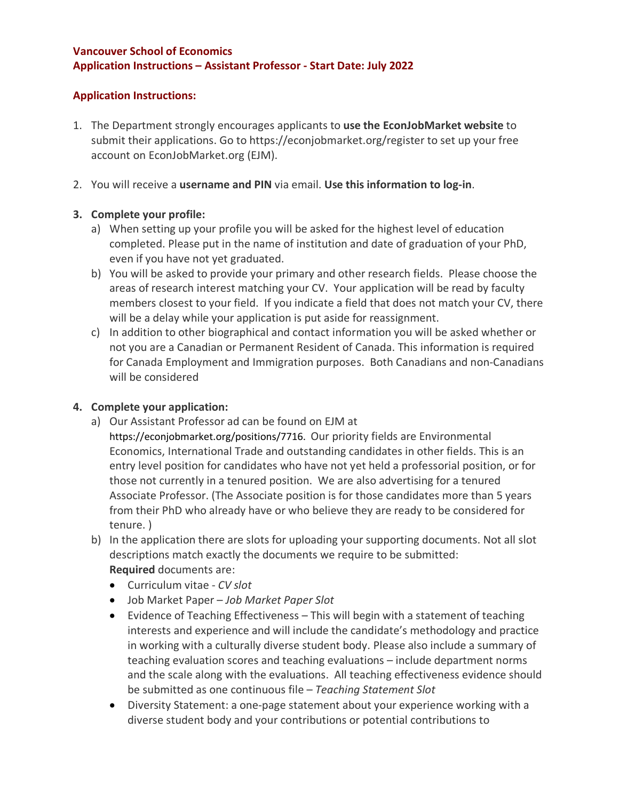### **Vancouver School of Economics Application Instructions – Assistant Professor - Start Date: July 2022**

## **Application Instructions:**

- 1. The Department strongly encourages applicants to **use the EconJobMarket website** to submit their applications. Go to https://econjobmarket.org/register to set up your free account on EconJobMarket.org (EJM).
- 2. You will receive a **username and PIN** via email. **Use this information to log-in**.

## **3. Complete your profile:**

- a) When setting up your profile you will be asked for the highest level of education completed. Please put in the name of institution and date of graduation of your PhD, even if you have not yet graduated.
- b) You will be asked to provide your primary and other research fields. Please choose the areas of research interest matching your CV. Your application will be read by faculty members closest to your field. If you indicate a field that does not match your CV, there will be a delay while your application is put aside for reassignment.
- c) In addition to other biographical and contact information you will be asked whether or not you are a Canadian or Permanent Resident of Canada. This information is required for Canada Employment and Immigration purposes. Both Canadians and non-Canadians will be considered

## **4. Complete your application:**

- a) Our Assistant Professor ad can be found on EJM at
	- https://econjobmarket.org/positions/7716. Our priority fields are Environmental Economics, International Trade and outstanding candidates in other fields. This is an entry level position for candidates who have not yet held a professorial position, or for those not currently in a tenured position. We are also advertising for a tenured Associate Professor. (The Associate position is for those candidates more than 5 years from their PhD who already have or who believe they are ready to be considered for tenure. )
- b) In the application there are slots for uploading your supporting documents. Not all slot descriptions match exactly the documents we require to be submitted: **Required** documents are:
	- Curriculum vitae *CV slot*
	- Job Market Paper *Job Market Paper Slot*
	- Evidence of Teaching Effectiveness This will begin with a statement of teaching interests and experience and will include the candidate's methodology and practice in working with a culturally diverse student body. Please also include a summary of teaching evaluation scores and teaching evaluations – include department norms and the scale along with the evaluations. All teaching effectiveness evidence should be submitted as one continuous file – *Teaching Statement Slot*
	- Diversity Statement: a one-page statement about your experience working with a diverse student body and your contributions or potential contributions to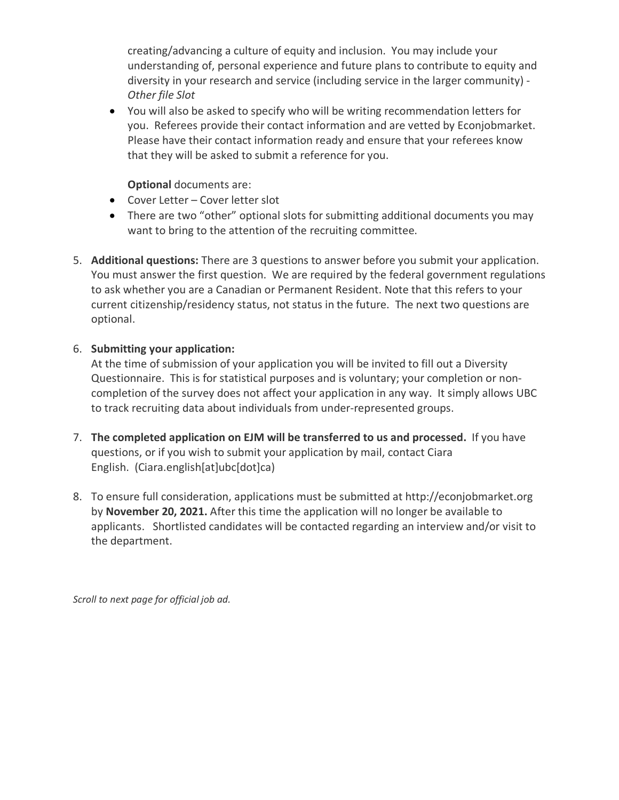creating/advancing a culture of equity and inclusion. You may include your understanding of, personal experience and future plans to contribute to equity and diversity in your research and service (including service in the larger community) - *Other file Slot*

• You will also be asked to specify who will be writing recommendation letters for you. Referees provide their contact information and are vetted by Econjobmarket. Please have their contact information ready and ensure that your referees know that they will be asked to submit a reference for you.

## **Optional** documents are:

- Cover Letter Cover letter slot
- There are two "other" optional slots for submitting additional documents you may want to bring to the attention of the recruiting committee.
- 5. **Additional questions:** There are 3 questions to answer before you submit your application. You must answer the first question. We are required by the federal government regulations to ask whether you are a Canadian or Permanent Resident. Note that this refers to your current citizenship/residency status, not status in the future. The next two questions are optional.

# 6. **Submitting your application:**

At the time of submission of your application you will be invited to fill out a Diversity Questionnaire. This is for statistical purposes and is voluntary; your completion or noncompletion of the survey does not affect your application in any way. It simply allows UBC to track recruiting data about individuals from under-represented groups.

- 7. **The completed application on EJM will be transferred to us and processed.** If you have questions, or if you wish to submit your application by mail, contact Ciara English. (Ciara.english[at]ubc[dot]ca)
- 8. To ensure full consideration, applications must be submitted at http://econjobmarket.org by **November 20, 2021.** After this time the application will no longer be available to applicants. Shortlisted candidates will be contacted regarding an interview and/or visit to the department.

*Scroll to next page for official job ad.*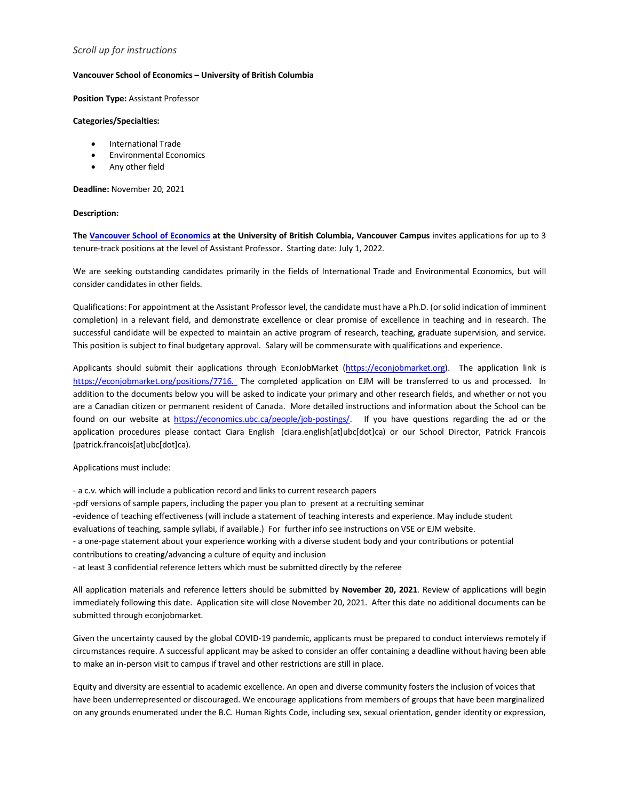### *Scroll up for instructions*

### **Vancouver School of Economics – University of British Columbia**

**Position Type:** Assistant Professor

### **Categories/Specialties:**

- International Trade
- Environmental Economics
- Any other field

**Deadline:** November 20, 2021

#### **Description:**

**The Vancouver School of Economics at the University of British Columbia, Vancouver Campus** invites applications for up to 3 tenure-track positions at the level of Assistant Professor. Starting date: July 1, 2022.

We are seeking outstanding candidates primarily in the fields of International Trade and Environmental Economics, but will consider candidates in other fields.

Qualifications: For appointment at the Assistant Professor level, the candidate must have a Ph.D. (or solid indication of imminent completion) in a relevant field, and demonstrate excellence or clear promise of excellence in teaching and in research. The successful candidate will be expected to maintain an active program of research, teaching, graduate supervision, and service. This position is subject to final budgetary approval. Salary will be commensurate with qualifications and experience.

Applicants should submit their applications through EconJobMarket (https://econjobmarket.org). The application link is https://econjobmarket.org/positions/7716. The completed application on EJM will be transferred to us and processed. In addition to the documents below you will be asked to indicate your primary and other research fields, and whether or not you are a Canadian citizen or permanent resident of Canada. More detailed instructions and information about the School can be found on our website at https://economics.ubc.ca/people/job-postings/. If you have questions regarding the ad or the application procedures please contact Ciara English (ciara.english[at]ubc[dot]ca) or our School Director, Patrick Francois (patrick.francois[at]ubc[dot]ca).

### Applications must include:

- a c.v. which will include a publication record and links to current research papers -pdf versions of sample papers, including the paper you plan to present at a recruiting seminar -evidence of teaching effectiveness (will include a statement of teaching interests and experience. May include student evaluations of teaching, sample syllabi, if available.) For further info see instructions on VSE or EJM website. - a one-page statement about your experience working with a diverse student body and your contributions or potential contributions to creating/advancing a culture of equity and inclusion - at least 3 confidential reference letters which must be submitted directly by the referee

All application materials and reference letters should be submitted by **November 20, 2021**. Review of applications will begin immediately following this date. Application site will close November 20, 2021. After this date no additional documents can be submitted through econjobmarket.

Given the uncertainty caused by the global COVID-19 pandemic, applicants must be prepared to conduct interviews remotely if circumstances require. A successful applicant may be asked to consider an offer containing a deadline without having been able to make an in-person visit to campus if travel and other restrictions are still in place.

Equity and diversity are essential to academic excellence. An open and diverse community fosters the inclusion of voices that have been underrepresented or discouraged. We encourage applications from members of groups that have been marginalized on any grounds enumerated under the B.C. Human Rights Code, including sex, sexual orientation, gender identity or expression,